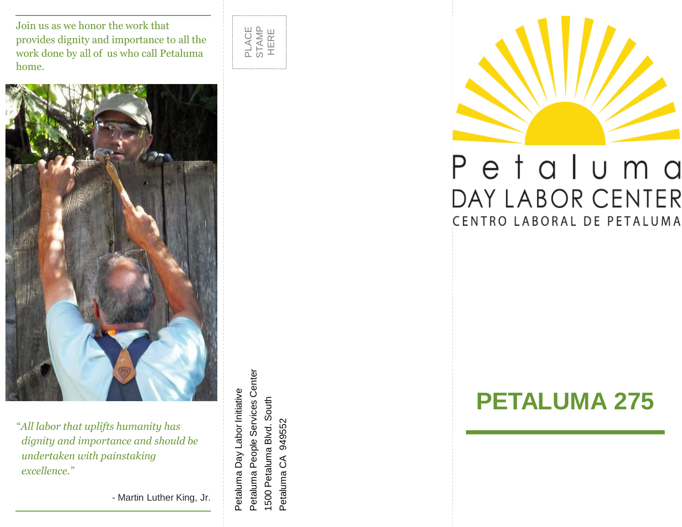Join us as we honor the work that provides dignity and importance to all the work done by all of us who call Petaluma home.





"*All labor that uplifts humanity has dignity and importance and should be undertaken with painstaking excellence."*

- Martin Luther King, Jr.

Petaluma People Services Center Petaluma People Services Center Petaluma Day Labor Initiative Petaluma Day Labor Initiative 1500 Petaluma Blvd. South 1500 Petaluma Blvd. South Petaluma CA 949552 Petaluma CA 949552



# Petaluma DAY LABOR CENTER CENTRO LABORAL DE PETALUMA

# **PETALUMA 275**